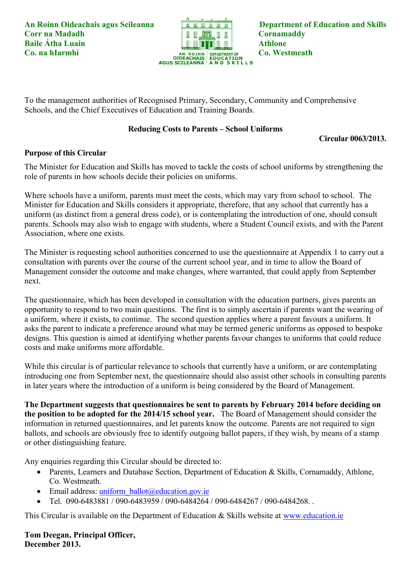

To the management authorities of Recognised Primary, Secondary, Community and Comprehensive Schools, and the Chief Executives of Education and Training Boards.

## **Reducing Costs to Parents – School Uniforms**

**Circular 0063/2013.**

## **Purpose of this Circular**

The Minister for Education and Skills has moved to tackle the costs of school uniforms by strengthening the role of parents in how schools decide their policies on uniforms.

Where schools have a uniform, parents must meet the costs, which may vary from school to school. The Minister for Education and Skills considers it appropriate, therefore, that any school that currently has a uniform (as distinct from a general dress code), or is contemplating the introduction of one, should consult parents. Schools may also wish to engage with students, where a Student Council exists, and with the Parent Association, where one exists.

The Minister is requesting school authorities concerned to use the questionnaire at Appendix 1 to carry out a consultation with parents over the course of the current school year, and in time to allow the Board of Management consider the outcome and make changes, where warranted, that could apply from September next.

The questionnaire, which has been developed in consultation with the education partners, gives parents an opportunity to respond to two main questions. The first is to simply ascertain if parents want the wearing of a uniform, where it exists, to continue. The second question applies where a parent favours a uniform. It asks the parent to indicate a preference around what may be termed generic uniforms as opposed to bespoke designs. This question is aimed at identifying whether parents favour changes to uniforms that could reduce costs and make uniforms more affordable.

While this circular is of particular relevance to schools that currently have a uniform, or are contemplating introducing one from September next, the questionnaire should also assist other schools in consulting parents in later years where the introduction of a uniform is being considered by the Board of Management.

**The Department suggests that questionnaires be sent to parents by February 2014 before deciding on the position to be adopted for the 2014/15 school year.** The Board of Management should consider the information in returned questionnaires, and let parents know the outcome. Parents are not required to sign ballots, and schools are obviously free to identify outgoing ballot papers, if they wish, by means of a stamp or other distinguishing feature.

Any enquiries regarding this Circular should be directed to:

- Parents, Learners and Database Section, Department of Education & Skills, Cornamaddy, Athlone, Co. Westmeath.
- $\bullet$  Email address: uniform ballot@education.gov.ie
- Tel. 090-6483881 / 090-6483959 / 090-6484264 / 090-6484267 / 090-6484268. .

This Circular is available on the Department of Education & Skills website at [www.education.ie](http://www.education.ie/)

**Tom Deegan, Principal Officer, December 2013.**